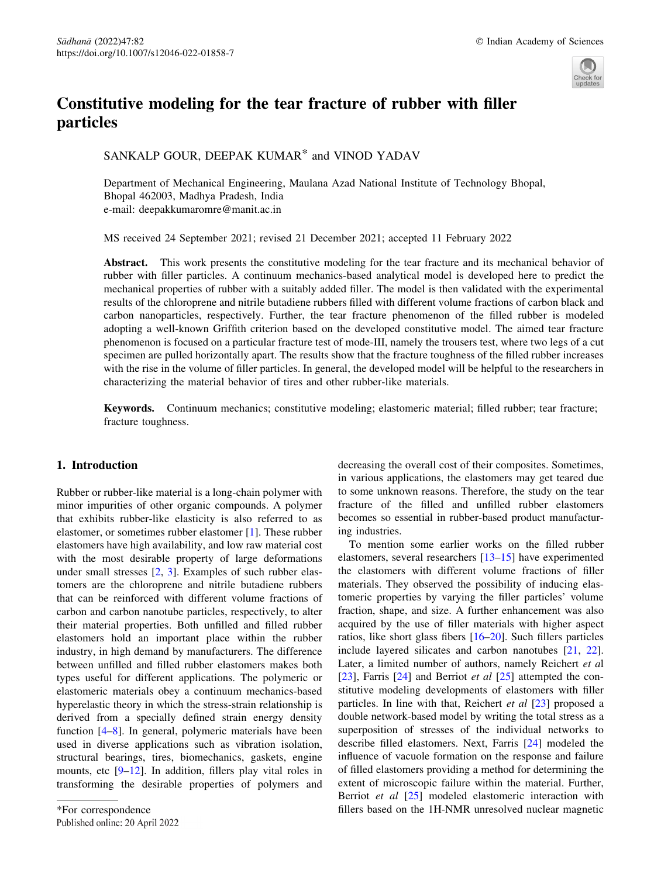

# Constitutive modeling for the tear fracture of rubber with filler particles

SANKALP GOUR, DEEPAK KUMAR\* and VINOD YADAV

Department of Mechanical Engineering, Maulana Azad National Institute of Technology Bhopal, Bhopal 462003, Madhya Pradesh, India e-mail: deepakkumaromre@manit.ac.in

MS received 24 September 2021; revised 21 December 2021; accepted 11 February 2022

Abstract. This work presents the constitutive modeling for the tear fracture and its mechanical behavior of rubber with filler particles. A continuum mechanics-based analytical model is developed here to predict the mechanical properties of rubber with a suitably added filler. The model is then validated with the experimental results of the chloroprene and nitrile butadiene rubbers filled with different volume fractions of carbon black and carbon nanoparticles, respectively. Further, the tear fracture phenomenon of the filled rubber is modeled adopting a well-known Griffith criterion based on the developed constitutive model. The aimed tear fracture phenomenon is focused on a particular fracture test of mode-III, namely the trousers test, where two legs of a cut specimen are pulled horizontally apart. The results show that the fracture toughness of the filled rubber increases with the rise in the volume of filler particles. In general, the developed model will be helpful to the researchers in characterizing the material behavior of tires and other rubber-like materials.

Keywords. Continuum mechanics; constitutive modeling; elastomeric material; filled rubber; tear fracture; fracture toughness.

# 1. Introduction

Rubber or rubber-like material is a long-chain polymer with minor impurities of other organic compounds. A polymer that exhibits rubber-like elasticity is also referred to as elastomer, or sometimes rubber elastomer [1]. These rubber elastomers have high availability, and low raw material cost with the most desirable property of large deformations under small stresses [2, 3]. Examples of such rubber elastomers are the chloroprene and nitrile butadiene rubbers that can be reinforced with different volume fractions of carbon and carbon nanotube particles, respectively, to alter their material properties. Both unfilled and filled rubber elastomers hold an important place within the rubber industry, in high demand by manufacturers. The difference between unfilled and filled rubber elastomers makes both types useful for different applications. The polymeric or elastomeric materials obey a continuum mechanics-based hyperelastic theory in which the stress-strain relationship is derived from a specially defined strain energy density function [4–8]. In general, polymeric materials have been used in diverse applications such as vibration isolation, structural bearings, tires, biomechanics, gaskets, engine mounts, etc  $[9-12]$ . In addition, fillers play vital roles in transforming the desirable properties of polymers and

Published online: 20 April 2022

decreasing the overall cost of their composites. Sometimes, in various applications, the elastomers may get teared due to some unknown reasons. Therefore, the study on the tear fracture of the filled and unfilled rubber elastomers becomes so essential in rubber-based product manufacturing industries.

To mention some earlier works on the filled rubber elastomers, several researchers [13–15] have experimented the elastomers with different volume fractions of filler materials. They observed the possibility of inducing elastomeric properties by varying the filler particles' volume fraction, shape, and size. A further enhancement was also acquired by the use of filler materials with higher aspect ratios, like short glass fibers [16–20]. Such fillers particles include layered silicates and carbon nanotubes [21, 22]. Later, a limited number of authors, namely Reichert et al [23], Farris [24] and Berriot *et al* [25] attempted the constitutive modeling developments of elastomers with filler particles. In line with that, Reichert *et al* [23] proposed a double network-based model by writing the total stress as a superposition of stresses of the individual networks to describe filled elastomers. Next, Farris [24] modeled the influence of vacuole formation on the response and failure of filled elastomers providing a method for determining the extent of microscopic failure within the material. Further, Berriot et al [25] modeled elastomeric interaction with \*For correspondence fillers based on the 1H-NMR unresolved nuclear magnetic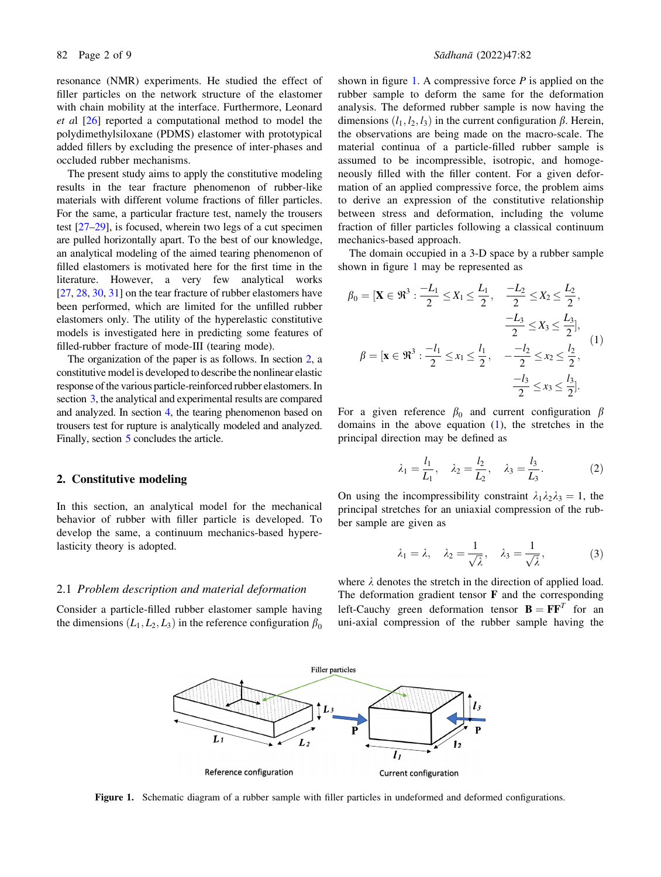resonance (NMR) experiments. He studied the effect of filler particles on the network structure of the elastomer with chain mobility at the interface. Furthermore, Leonard et al [26] reported a computational method to model the polydimethylsiloxane (PDMS) elastomer with prototypical added fillers by excluding the presence of inter-phases and occluded rubber mechanisms.

The present study aims to apply the constitutive modeling results in the tear fracture phenomenon of rubber-like materials with different volume fractions of filler particles. For the same, a particular fracture test, namely the trousers test [27–29], is focused, wherein two legs of a cut specimen are pulled horizontally apart. To the best of our knowledge, an analytical modeling of the aimed tearing phenomenon of filled elastomers is motivated here for the first time in the literature. However, a very few analytical works [27, 28, 30, 31] on the tear fracture of rubber elastomers have been performed, which are limited for the unfilled rubber elastomers only. The utility of the hyperelastic constitutive models is investigated here in predicting some features of filled-rubber fracture of mode-III (tearing mode).

The organization of the paper is as follows. In section 2, a constitutive model is developed to describe the nonlinear elastic response of the various particle-reinforced rubber elastomers. In section 3, the analytical and experimental results are compared and analyzed. In section 4, the tearing phenomenon based on trousers test for rupture is analytically modeled and analyzed. Finally, section 5 concludes the article.

### 2. Constitutive modeling

In this section, an analytical model for the mechanical behavior of rubber with filler particle is developed. To develop the same, a continuum mechanics-based hyperelasticity theory is adopted.

#### 2.1 Problem description and material deformation

Consider a particle-filled rubber elastomer sample having the dimensions  $(L_1, L_2, L_3)$  in the reference configuration  $\beta_0$ 

shown in figure 1. A compressive force  $P$  is applied on the rubber sample to deform the same for the deformation analysis. The deformed rubber sample is now having the dimensions  $(l_1, l_2, l_3)$  in the current configuration  $\beta$ . Herein, the observations are being made on the macro-scale. The material continua of a particle-filled rubber sample is assumed to be incompressible, isotropic, and homogeneously filled with the filler content. For a given deformation of an applied compressive force, the problem aims to derive an expression of the constitutive relationship between stress and deformation, including the volume fraction of filler particles following a classical continuum mechanics-based approach.

The domain occupied in a 3-D space by a rubber sample shown in figure 1 may be represented as

$$
\beta_0 = [\mathbf{X} \in \mathfrak{R}^3 : \frac{-L_1}{2} \le X_1 \le \frac{L_1}{2}, \quad \frac{-L_2}{2} \le X_2 \le \frac{L_2}{2},
$$

$$
\frac{-L_3}{2} \le X_3 \le \frac{L_3}{2}],
$$

$$
\beta = [\mathbf{x} \in \mathfrak{R}^3 : \frac{-l_1}{2} \le x_1 \le \frac{l_1}{2}, \quad -\frac{-l_2}{2} \le x_2 \le \frac{l_2}{2},
$$

$$
\frac{-l_3}{2} \le x_3 \le \frac{l_3}{2}].
$$

$$
(1)
$$

For a given reference  $\beta_0$  and current configuration  $\beta$ domains in the above equation (1), the stretches in the principal direction may be defined as

$$
\lambda_1 = \frac{l_1}{L_1}, \quad \lambda_2 = \frac{l_2}{L_2}, \quad \lambda_3 = \frac{l_3}{L_3}.
$$
 (2)

On using the incompressibility constraint  $\lambda_1 \lambda_2 \lambda_3 = 1$ , the principal stretches for an uniaxial compression of the rubber sample are given as

$$
\lambda_1 = \lambda, \quad \lambda_2 = \frac{1}{\sqrt{\lambda}}, \quad \lambda_3 = \frac{1}{\sqrt{\lambda}},
$$
\n(3)

where  $\lambda$  denotes the stretch in the direction of applied load. The deformation gradient tensor  $\bf{F}$  and the corresponding left-Cauchy green deformation tensor  $\mathbf{B} = \mathbf{F}\mathbf{F}^T$  for an uni-axial compression of the rubber sample having the



Figure 1. Schematic diagram of a rubber sample with filler particles in undeformed and deformed configurations.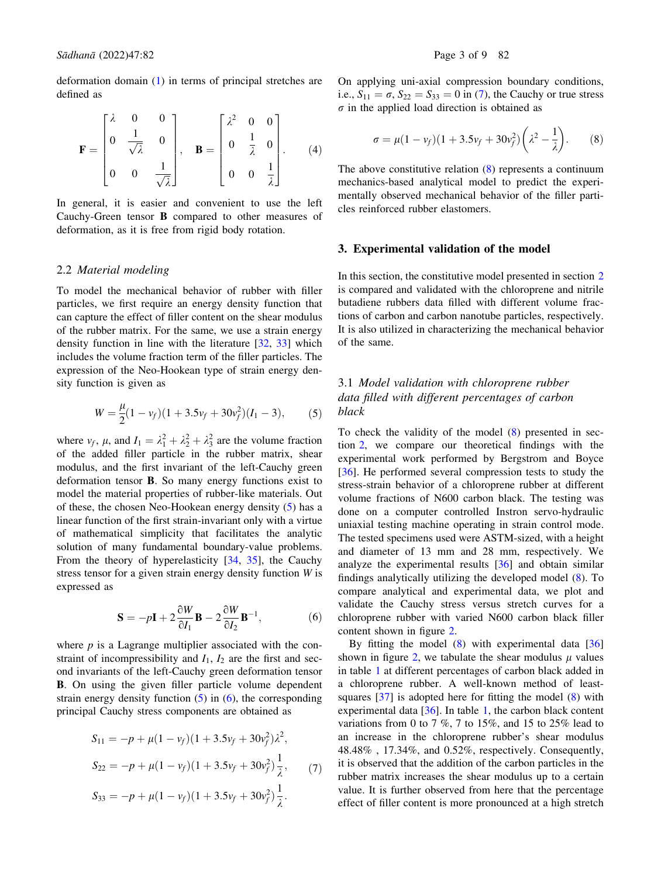deformation domain (1) in terms of principal stretches are defined as

$$
\mathbf{F} = \begin{bmatrix} \lambda & 0 & 0 \\ 0 & \frac{1}{\sqrt{\lambda}} & 0 \\ 0 & 0 & \frac{1}{\sqrt{\lambda}} \end{bmatrix}, \quad \mathbf{B} = \begin{bmatrix} \lambda^2 & 0 & 0 \\ 0 & \frac{1}{\lambda} & 0 \\ 0 & 0 & \frac{1}{\lambda} \end{bmatrix}.
$$
 (4)

In general, it is easier and convenient to use the left Cauchy-Green tensor B compared to other measures of deformation, as it is free from rigid body rotation.

#### 2.2 Material modeling

To model the mechanical behavior of rubber with filler particles, we first require an energy density function that can capture the effect of filler content on the shear modulus of the rubber matrix. For the same, we use a strain energy density function in line with the literature [32, 33] which includes the volume fraction term of the filler particles. The expression of the Neo-Hookean type of strain energy density function is given as

$$
W = \frac{\mu}{2}(1 - v_f)(1 + 3.5v_f + 30v_f^2)(I_1 - 3),
$$
 (5)

where  $v_f$ ,  $\mu$ , and  $I_1 = \lambda_1^2 + \lambda_2^2 + \lambda_3^2$  are the volume fraction of the added filler particle in the rubber matrix, shear modulus, and the first invariant of the left-Cauchy green deformation tensor B. So many energy functions exist to model the material properties of rubber-like materials. Out of these, the chosen Neo-Hookean energy density (5) has a linear function of the first strain-invariant only with a virtue of mathematical simplicity that facilitates the analytic solution of many fundamental boundary-value problems. From the theory of hyperelasticity [34, 35], the Cauchy stress tensor for a given strain energy density function  $W$  is expressed as

$$
\mathbf{S} = -p\mathbf{I} + 2\frac{\partial W}{\partial I_1}\mathbf{B} - 2\frac{\partial W}{\partial I_2}\mathbf{B}^{-1},\tag{6}
$$

where  $p$  is a Lagrange multiplier associated with the constraint of incompressibility and  $I_1$ ,  $I_2$  are the first and second invariants of the left-Cauchy green deformation tensor B. On using the given filler particle volume dependent strain energy density function  $(5)$  in  $(6)$ , the corresponding principal Cauchy stress components are obtained as

$$
S_{11} = -p + \mu (1 - v_f)(1 + 3.5v_f + 30v_f^2)\lambda^2,
$$
  
\n
$$
S_{22} = -p + \mu (1 - v_f)(1 + 3.5v_f + 30v_f^2)\frac{1}{\lambda}, \qquad (7)
$$
  
\n
$$
S_{33} = -p + \mu (1 - v_f)(1 + 3.5v_f + 30v_f^2)\frac{1}{\lambda}.
$$

On applying uni-axial compression boundary conditions, i.e.,  $S_{11} = \sigma$ ,  $S_{22} = S_{33} = 0$  in (7), the Cauchy or true stress  $\sigma$  in the applied load direction is obtained as

$$
\sigma = \mu (1 - v_f)(1 + 3.5v_f + 30v_f^2) \left(\lambda^2 - \frac{1}{\lambda}\right).
$$
 (8)

The above constitutive relation (8) represents a continuum mechanics-based analytical model to predict the experimentally observed mechanical behavior of the filler particles reinforced rubber elastomers.

# 3. Experimental validation of the model

In this section, the constitutive model presented in section 2 is compared and validated with the chloroprene and nitrile butadiene rubbers data filled with different volume fractions of carbon and carbon nanotube particles, respectively. It is also utilized in characterizing the mechanical behavior of the same.

# 3.1 Model validation with chloroprene rubber data filled with different percentages of carbon black

To check the validity of the model (8) presented in section 2, we compare our theoretical findings with the experimental work performed by Bergstrom and Boyce [36]. He performed several compression tests to study the stress-strain behavior of a chloroprene rubber at different volume fractions of N600 carbon black. The testing was done on a computer controlled Instron servo-hydraulic uniaxial testing machine operating in strain control mode. The tested specimens used were ASTM-sized, with a height and diameter of 13 mm and 28 mm, respectively. We analyze the experimental results [36] and obtain similar findings analytically utilizing the developed model (8). To compare analytical and experimental data, we plot and validate the Cauchy stress versus stretch curves for a chloroprene rubber with varied N600 carbon black filler content shown in figure 2.

By fitting the model  $(8)$  with experimental data  $[36]$ shown in figure 2, we tabulate the shear modulus  $\mu$  values in table 1 at different percentages of carbon black added in a chloroprene rubber. A well-known method of leastsquares  $[37]$  is adopted here for fitting the model  $(8)$  with experimental data [36]. In table 1, the carbon black content variations from 0 to 7 %, 7 to 15%, and 15 to 25% lead to an increase in the chloroprene rubber's shear modulus 48.48% , 17.34%, and 0.52%, respectively. Consequently, it is observed that the addition of the carbon particles in the rubber matrix increases the shear modulus up to a certain value. It is further observed from here that the percentage effect of filler content is more pronounced at a high stretch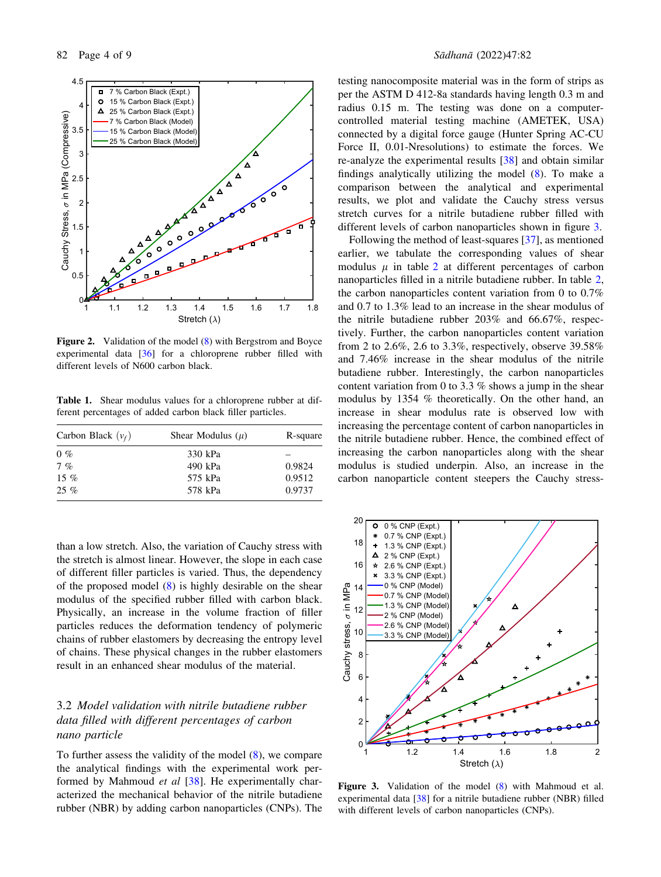

Figure 2. Validation of the model (8) with Bergstrom and Boyce experimental data [36] for a chloroprene rubber filled with different levels of N600 carbon black.

Table 1. Shear modulus values for a chloroprene rubber at different percentages of added carbon black filler particles.

| R-square |
|----------|
|          |
| 0.9824   |
| 0.9512   |
| 0.9737   |
|          |

than a low stretch. Also, the variation of Cauchy stress with the stretch is almost linear. However, the slope in each case of different filler particles is varied. Thus, the dependency of the proposed model (8) is highly desirable on the shear modulus of the specified rubber filled with carbon black. Physically, an increase in the volume fraction of filler particles reduces the deformation tendency of polymeric chains of rubber elastomers by decreasing the entropy level of chains. These physical changes in the rubber elastomers result in an enhanced shear modulus of the material.

# 3.2 Model validation with nitrile butadiene rubber data filled with different percentages of carbon nano particle

To further assess the validity of the model (8), we compare the analytical findings with the experimental work performed by Mahmoud et al [38]. He experimentally characterized the mechanical behavior of the nitrile butadiene rubber (NBR) by adding carbon nanoparticles (CNPs). The

testing nanocomposite material was in the form of strips as per the ASTM D 412-8a standards having length 0.3 m and radius 0.15 m. The testing was done on a computercontrolled material testing machine (AMETEK, USA) connected by a digital force gauge (Hunter Spring AC-CU Force II, 0.01-Nresolutions) to estimate the forces. We re-analyze the experimental results [38] and obtain similar findings analytically utilizing the model (8). To make a comparison between the analytical and experimental results, we plot and validate the Cauchy stress versus stretch curves for a nitrile butadiene rubber filled with different levels of carbon nanoparticles shown in figure 3.

Following the method of least-squares [37], as mentioned earlier, we tabulate the corresponding values of shear modulus  $\mu$  in table 2 at different percentages of carbon nanoparticles filled in a nitrile butadiene rubber. In table 2, the carbon nanoparticles content variation from 0 to 0.7% and 0.7 to 1.3% lead to an increase in the shear modulus of the nitrile butadiene rubber 203% and 66.67%, respectively. Further, the carbon nanoparticles content variation from 2 to 2.6%, 2.6 to 3.3%, respectively, observe 39.58% and 7.46% increase in the shear modulus of the nitrile butadiene rubber. Interestingly, the carbon nanoparticles content variation from 0 to 3.3 % shows a jump in the shear modulus by 1354 % theoretically. On the other hand, an increase in shear modulus rate is observed low with increasing the percentage content of carbon nanoparticles in the nitrile butadiene rubber. Hence, the combined effect of increasing the carbon nanoparticles along with the shear modulus is studied underpin. Also, an increase in the carbon nanoparticle content steepers the Cauchy stress-



Figure 3. Validation of the model (8) with Mahmoud et al. experimental data [38] for a nitrile butadiene rubber (NBR) filled with different levels of carbon nanoparticles (CNPs).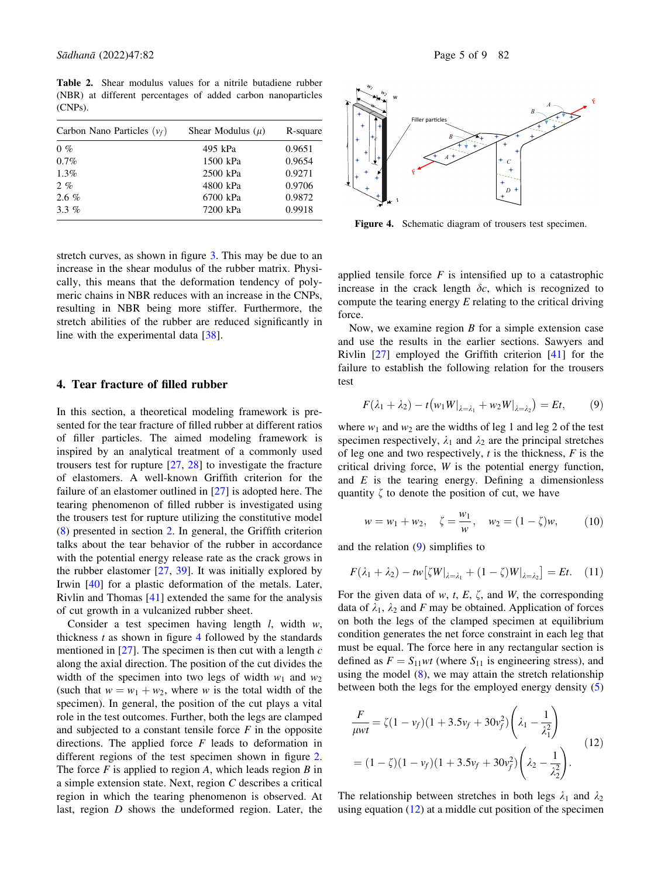Table 2. Shear modulus values for a nitrile butadiene rubber (NBR) at different percentages of added carbon nanoparticles (CNPs).

| Carbon Nano Particles $(v_f)$ | Shear Modulus $(\mu)$ | R-square |
|-------------------------------|-----------------------|----------|
| $0\%$                         | 495 kPa               | 0.9651   |
| $0.7\%$                       | 1500 kPa              | 0.9654   |
| $1.3\%$                       | 2500 kPa              | 0.9271   |
| $2 \%$                        | 4800 kPa              | 0.9706   |
| $2.6 \%$                      | 6700 kPa              | 0.9872   |
| $3.3\%$                       | 7200 kPa              | 0.9918   |

stretch curves, as shown in figure 3. This may be due to an increase in the shear modulus of the rubber matrix. Physically, this means that the deformation tendency of polymeric chains in NBR reduces with an increase in the CNPs, resulting in NBR being more stiffer. Furthermore, the stretch abilities of the rubber are reduced significantly in line with the experimental data [38].

### 4. Tear fracture of filled rubber

In this section, a theoretical modeling framework is presented for the tear fracture of filled rubber at different ratios of filler particles. The aimed modeling framework is inspired by an analytical treatment of a commonly used trousers test for rupture [27, 28] to investigate the fracture of elastomers. A well-known Griffith criterion for the failure of an elastomer outlined in [27] is adopted here. The tearing phenomenon of filled rubber is investigated using the trousers test for rupture utilizing the constitutive model (8) presented in section 2. In general, the Griffith criterion talks about the tear behavior of the rubber in accordance with the potential energy release rate as the crack grows in the rubber elastomer  $[27, 39]$ . It was initially explored by Irwin [40] for a plastic deformation of the metals. Later, Rivlin and Thomas [41] extended the same for the analysis of cut growth in a vulcanized rubber sheet.

Consider a test specimen having length  $l$ , width  $w$ , thickness  $t$  as shown in figure 4 followed by the standards mentioned in  $[27]$ . The specimen is then cut with a length  $c$ along the axial direction. The position of the cut divides the width of the specimen into two legs of width  $w_1$  and  $w_2$ (such that  $w = w_1 + w_2$ , where w is the total width of the specimen). In general, the position of the cut plays a vital role in the test outcomes. Further, both the legs are clamped and subjected to a constant tensile force  $F$  in the opposite directions. The applied force  $F$  leads to deformation in different regions of the test specimen shown in figure 2. The force  $F$  is applied to region  $A$ , which leads region  $B$  in a simple extension state. Next, region C describes a critical region in which the tearing phenomenon is observed. At last, region D shows the undeformed region. Later, the



Figure 4. Schematic diagram of trousers test specimen.

applied tensile force  $F$  is intensified up to a catastrophic increase in the crack length  $\delta c$ , which is recognized to compute the tearing energy  $E$  relating to the critical driving force.

Now, we examine region  $B$  for a simple extension case and use the results in the earlier sections. Sawyers and Rivlin [27] employed the Griffith criterion [41] for the failure to establish the following relation for the trousers test

$$
F(\lambda_1 + \lambda_2) - t(w_1 W|_{\lambda = \lambda_1} + w_2 W|_{\lambda = \lambda_2}) = Et,
$$
 (9)

where  $w_1$  and  $w_2$  are the widths of leg 1 and leg 2 of the test specimen respectively,  $\lambda_1$  and  $\lambda_2$  are the principal stretches of leg one and two respectively,  $t$  is the thickness,  $F$  is the critical driving force, W is the potential energy function, and  $E$  is the tearing energy. Defining a dimensionless quantity  $\zeta$  to denote the position of cut, we have

$$
w = w_1 + w_2
$$
,  $\zeta = \frac{w_1}{w}$ ,  $w_2 = (1 - \zeta)w$ , (10)

and the relation (9) simplifies to

$$
F(\lambda_1 + \lambda_2) - \text{tw} \left[ \zeta W \right]_{\lambda = \lambda_1} + (1 - \zeta) W \big|_{\lambda = \lambda_2} \right] = Et. \quad (11)
$$

For the given data of  $w$ ,  $t$ ,  $E$ ,  $\zeta$ , and  $W$ , the corresponding data of  $\lambda_1$ ,  $\lambda_2$  and F may be obtained. Application of forces on both the legs of the clamped specimen at equilibrium condition generates the net force constraint in each leg that must be equal. The force here in any rectangular section is defined as  $F = S_{11}wt$  (where  $S_{11}$  is engineering stress), and using the model  $(8)$ , we may attain the stretch relationship between both the legs for the employed energy density (5)

$$
\frac{F}{\mu vt} = \zeta (1 - v_f)(1 + 3.5v_f + 30v_f^2) \left(\lambda_1 - \frac{1}{\lambda_1^2}\right)
$$
  
=  $(1 - \zeta)(1 - v_f)(1 + 3.5v_f + 30v_f^2) \left(\lambda_2 - \frac{1}{\lambda_2^2}\right).$  (12)

The relationship between stretches in both legs  $\lambda_1$  and  $\lambda_2$ using equation  $(12)$  at a middle cut position of the specimen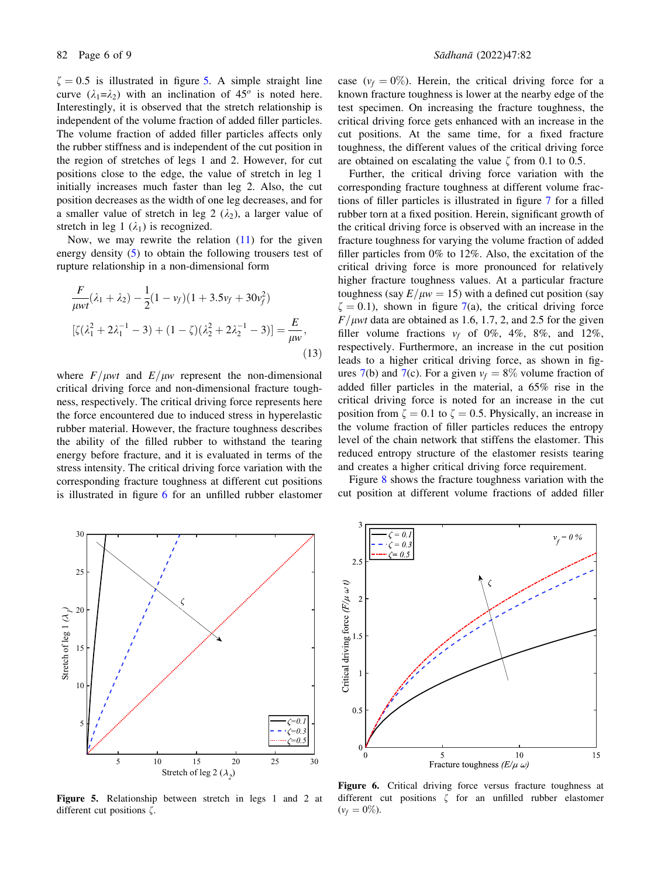$\zeta = 0.5$  is illustrated in figure 5. A simple straight line curve  $(\lambda_1 = \lambda_2)$  with an inclination of 45<sup>o</sup> is noted here. Interestingly, it is observed that the stretch relationship is independent of the volume fraction of added filler particles. The volume fraction of added filler particles affects only the rubber stiffness and is independent of the cut position in the region of stretches of legs 1 and 2. However, for cut positions close to the edge, the value of stretch in leg 1 initially increases much faster than leg 2. Also, the cut position decreases as the width of one leg decreases, and for a smaller value of stretch in leg 2  $(\lambda_2)$ , a larger value of stretch in leg 1  $(\lambda_1)$  is recognized.

Now, we may rewrite the relation  $(11)$  for the given energy density (5) to obtain the following trousers test of rupture relationship in a non-dimensional form

$$
\frac{F}{\mu w t}(\lambda_1 + \lambda_2) - \frac{1}{2}(1 - v_f)(1 + 3.5v_f + 30v_f^2)
$$
  

$$
[\zeta(\lambda_1^2 + 2\lambda_1^{-1} - 3) + (1 - \zeta)(\lambda_2^2 + 2\lambda_2^{-1} - 3)] = \frac{E}{\mu w},
$$
  
(13)

where  $F/\mu w t$  and  $E/\mu w$  represent the non-dimensional critical driving force and non-dimensional fracture toughness, respectively. The critical driving force represents here the force encountered due to induced stress in hyperelastic rubber material. However, the fracture toughness describes the ability of the filled rubber to withstand the tearing energy before fracture, and it is evaluated in terms of the stress intensity. The critical driving force variation with the corresponding fracture toughness at different cut positions is illustrated in figure 6 for an unfilled rubber elastomer case ( $v_f = 0\%$ ). Herein, the critical driving force for a known fracture toughness is lower at the nearby edge of the test specimen. On increasing the fracture toughness, the critical driving force gets enhanced with an increase in the cut positions. At the same time, for a fixed fracture toughness, the different values of the critical driving force are obtained on escalating the value  $\zeta$  from 0.1 to 0.5.

Further, the critical driving force variation with the corresponding fracture toughness at different volume fractions of filler particles is illustrated in figure 7 for a filled rubber torn at a fixed position. Herein, significant growth of the critical driving force is observed with an increase in the fracture toughness for varying the volume fraction of added filler particles from 0% to 12%. Also, the excitation of the critical driving force is more pronounced for relatively higher fracture toughness values. At a particular fracture toughness (say  $E/\mu w = 15$ ) with a defined cut position (say  $\zeta = 0.1$ , shown in figure 7(a), the critical driving force  $F/\mu wt$  data are obtained as 1.6, 1.7, 2, and 2.5 for the given filler volume fractions  $v_f$  of 0%, 4%, 8%, and 12%, respectively. Furthermore, an increase in the cut position leads to a higher critical driving force, as shown in figures 7(b) and 7(c). For a given  $v_f = 8\%$  volume fraction of added filler particles in the material, a 65% rise in the critical driving force is noted for an increase in the cut position from  $\zeta = 0.1$  to  $\zeta = 0.5$ . Physically, an increase in the volume fraction of filler particles reduces the entropy level of the chain network that stiffens the elastomer. This reduced entropy structure of the elastomer resists tearing and creates a higher critical driving force requirement.

Figure 8 shows the fracture toughness variation with the cut position at different volume fractions of added filler



Figure 5. Relationship between stretch in legs 1 and 2 at different cut positions  $\zeta$ .



Figure 6. Critical driving force versus fracture toughness at different cut positions  $\zeta$  for an unfilled rubber elastomer  $(v_f = 0\%).$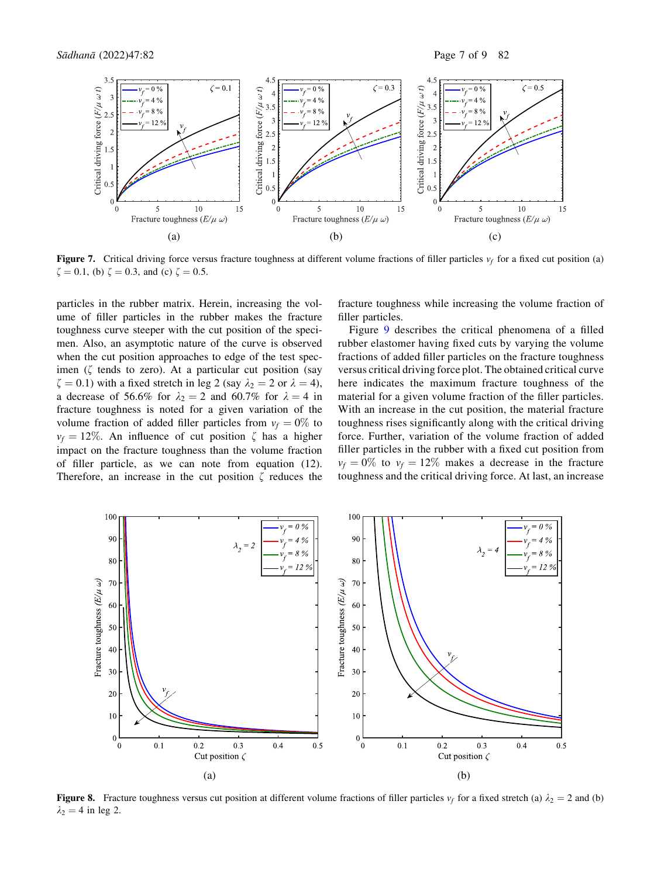

Figure 7. Critical driving force versus fracture toughness at different volume fractions of filler particles  $v_f$  for a fixed cut position (a)  $\zeta = 0.1$ , (b)  $\zeta = 0.3$ , and (c)  $\zeta = 0.5$ .

particles in the rubber matrix. Herein, increasing the volume of filler particles in the rubber makes the fracture toughness curve steeper with the cut position of the specimen. Also, an asymptotic nature of the curve is observed when the cut position approaches to edge of the test specimen  $(\zeta$  tends to zero). At a particular cut position (say  $\zeta = 0.1$ ) with a fixed stretch in leg 2 (say  $\lambda_2 = 2$  or  $\lambda = 4$ ), a decrease of 56.6% for  $\lambda_2 = 2$  and 60.7% for  $\lambda = 4$  in fracture toughness is noted for a given variation of the volume fraction of added filler particles from  $v_f = 0\%$  to  $v_f = 12\%$ . An influence of cut position  $\zeta$  has a higher impact on the fracture toughness than the volume fraction of filler particle, as we can note from equation (12). Therefore, an increase in the cut position  $\zeta$  reduces the

fracture toughness while increasing the volume fraction of filler particles.

Figure 9 describes the critical phenomena of a filled rubber elastomer having fixed cuts by varying the volume fractions of added filler particles on the fracture toughness versus critical driving force plot. The obtained critical curve here indicates the maximum fracture toughness of the material for a given volume fraction of the filler particles. With an increase in the cut position, the material fracture toughness rises significantly along with the critical driving force. Further, variation of the volume fraction of added filler particles in the rubber with a fixed cut position from  $v_f = 0\%$  to  $v_f = 12\%$  makes a decrease in the fracture toughness and the critical driving force. At last, an increase



**Figure 8.** Fracture toughness versus cut position at different volume fractions of filler particles  $v_f$  for a fixed stretch (a)  $\lambda_2 = 2$  and (b)  $\lambda_2 = 4$  in leg 2.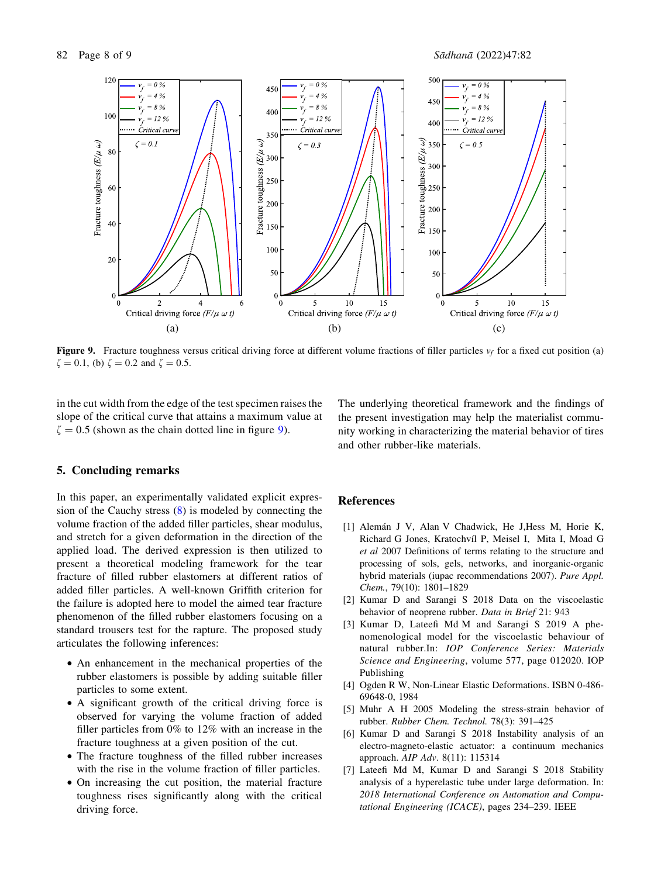82 Page 8 of 9 Sådhanå (2022)47:82



Figure 9. Fracture toughness versus critical driving force at different volume fractions of filler particles  $v_f$  for a fixed cut position (a)  $\zeta = 0.1$ , (b)  $\zeta = 0.2$  and  $\zeta = 0.5$ .

in the cut width from the edge of the test specimen raises the slope of the critical curve that attains a maximum value at  $\zeta = 0.5$  (shown as the chain dotted line in figure 9).

# 5. Concluding remarks

In this paper, an experimentally validated explicit expression of the Cauchy stress (8) is modeled by connecting the volume fraction of the added filler particles, shear modulus, and stretch for a given deformation in the direction of the applied load. The derived expression is then utilized to present a theoretical modeling framework for the tear fracture of filled rubber elastomers at different ratios of added filler particles. A well-known Griffith criterion for the failure is adopted here to model the aimed tear fracture phenomenon of the filled rubber elastomers focusing on a standard trousers test for the rapture. The proposed study articulates the following inferences:

- An enhancement in the mechanical properties of the rubber elastomers is possible by adding suitable filler particles to some extent.
- A significant growth of the critical driving force is observed for varying the volume fraction of added filler particles from 0% to 12% with an increase in the fracture toughness at a given position of the cut.
- The fracture toughness of the filled rubber increases with the rise in the volume fraction of filler particles.
- On increasing the cut position, the material fracture toughness rises significantly along with the critical driving force.

The underlying theoretical framework and the findings of the present investigation may help the materialist community working in characterizing the material behavior of tires and other rubber-like materials.

# References

- [1] Alemán J V, Alan V Chadwick, He J, Hess M, Horie K, Richard G Jones, Kratochvı´l P, Meisel I, Mita I, Moad G et al 2007 Definitions of terms relating to the structure and processing of sols, gels, networks, and inorganic-organic hybrid materials (iupac recommendations 2007). Pure Appl. Chem., 79(10): 1801–1829
- [2] Kumar D and Sarangi S 2018 Data on the viscoelastic behavior of neoprene rubber. Data in Brief 21: 943
- [3] Kumar D, Lateefi Md M and Sarangi S 2019 A phenomenological model for the viscoelastic behaviour of natural rubber.In: IOP Conference Series: Materials Science and Engineering, volume 577, page 012020. IOP Publishing
- [4] Ogden R W, Non-Linear Elastic Deformations. ISBN 0-486- 69648-0, 1984
- [5] Muhr A H 2005 Modeling the stress-strain behavior of rubber. Rubber Chem. Technol. 78(3): 391–425
- [6] Kumar D and Sarangi S 2018 Instability analysis of an electro-magneto-elastic actuator: a continuum mechanics approach. AIP Adv. 8(11): 115314
- [7] Lateefi Md M, Kumar D and Sarangi S 2018 Stability analysis of a hyperelastic tube under large deformation. In: 2018 International Conference on Automation and Computational Engineering (ICACE), pages 234–239. IEEE